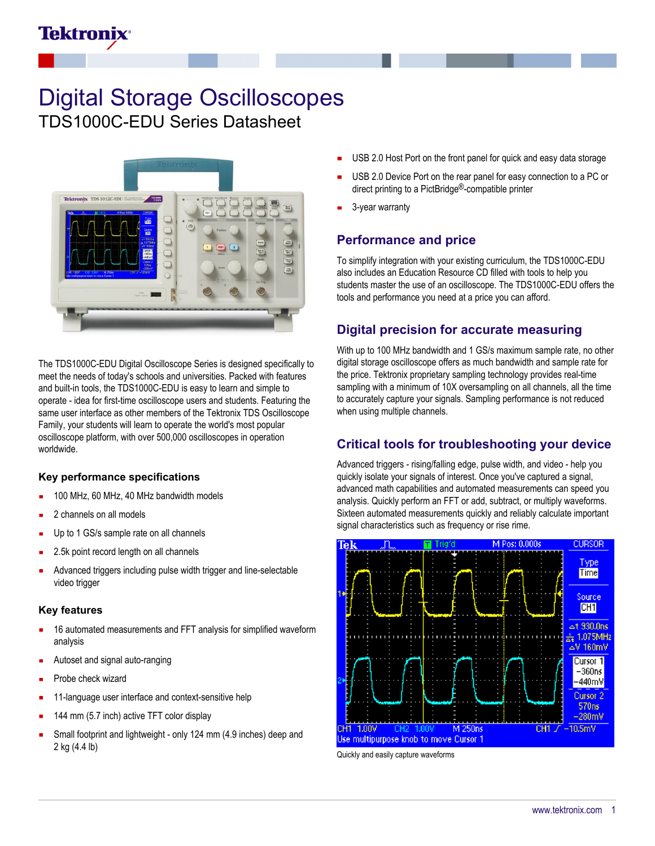# **Tektronix**

# Digital Storage Oscilloscopes TDS1000C-EDU Series Datasheet

Tektronix TDS 1012C-EDU

The TDS1000C-EDU Digital Oscilloscope Series is designed specifically to meet the needs of today's schools and universities. Packed with features and built-in tools, the TDS1000C-EDU is easy to learn and simple to operate - idea for first-time oscilloscope users and students. Featuring the same user interface as other members of the Tektronix TDS Oscilloscope Family, your students will learn to operate the world's most popular oscilloscope platform, with over 500,000 oscilloscopes in operation worldwide.

#### **Key performance specifications**

- 100 MHz, 60 MHz, 40 MHz bandwidth models
- 2 channels on all models
- Up to 1 GS/s sample rate on all channels
- 2.5k point record length on all channels
- Advanced triggers including pulse width trigger and line-selectable video trigger

#### **Key features**

- 16 automated measurements and FFT analysis for simplified waveform analysis
- Autoset and signal auto-ranging
- Probe check wizard
- 11-language user interface and context-sensitive help
- 144 mm (5.7 inch) active TFT color display
- Small footprint and lightweight only 124 mm (4.9 inches) deep and 2 kg (4.4 lb)
- USB 2.0 Host Port on the front panel for quick and easy data storage
- USB 2.0 Device Port on the rear panel for easy connection to a PC or direct printing to a PictBridge®-compatible printer
- 3-year warranty

# **Performance and price**

To simplify integration with your existing curriculum, the TDS1000C-EDU also includes an Education Resource CD filled with tools to help you students master the use of an oscilloscope. The TDS1000C-EDU offers the tools and performance you need at a price you can afford.

# **Digital precision for accurate measuring**

With up to 100 MHz bandwidth and 1 GS/s maximum sample rate, no other digital storage oscilloscope offers as much bandwidth and sample rate for the price. Tektronix proprietary sampling technology provides real-time sampling with a minimum of 10X oversampling on all channels, all the time to accurately capture your signals. Sampling performance is not reduced when using multiple channels.

# **Critical tools for troubleshooting your device**

Advanced triggers - rising/falling edge, pulse width, and video - help you quickly isolate your signals of interest. Once you've captured a signal, advanced math capabilities and automated measurements can speed you analysis. Quickly perform an FFT or add, subtract, or multiply waveforms. Sixteen automated measurements quickly and reliably calculate important signal characteristics such as frequency or rise rime.



Quickly and easily capture waveforms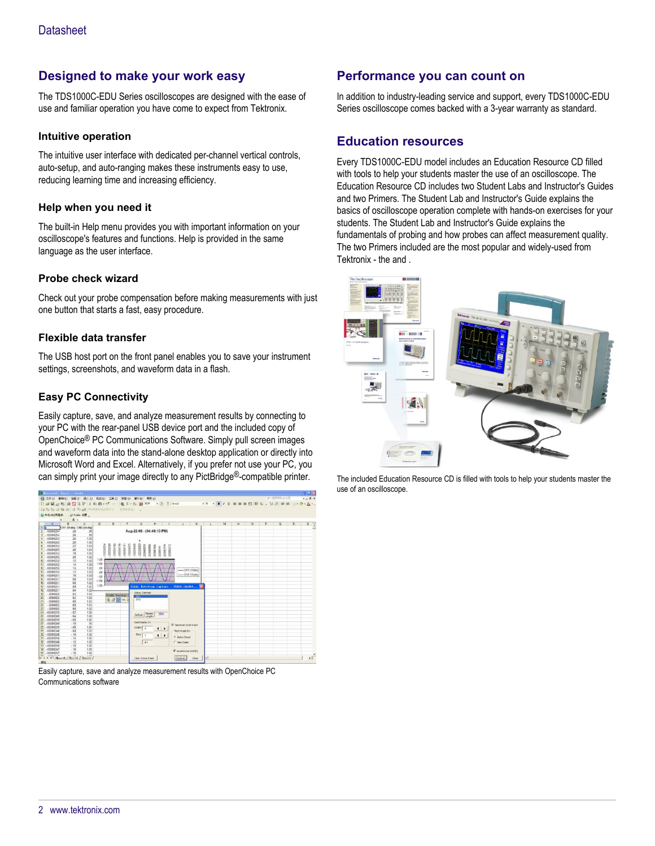# **Designed to make your work easy**

The TDS1000C-EDU Series oscilloscopes are designed with the ease of use and familiar operation you have come to expect from Tektronix.

#### **Intuitive operation**

The intuitive user interface with dedicated per-channel vertical controls, auto-setup, and auto-ranging makes these instruments easy to use, reducing learning time and increasing efficiency.

#### **Help when you need it**

The built-in Help menu provides you with important information on your oscilloscope's features and functions. Help is provided in the same language as the user interface.

#### **Probe check wizard**

Check out your probe compensation before making measurements with just one button that starts a fast, easy procedure.

#### **Flexible data transfer**

The USB host port on the front panel enables you to save your instrument settings, screenshots, and waveform data in a flash.

#### **Easy PC Connectivity**

Easily capture, save, and analyze measurement results by connecting to your PC with the rear-panel USB device port and the included copy of OpenChoice® PC Communications Software. Simply pull screen images and waveform data into the stand-alone desktop application or directly into Microsoft Word and Excel. Alternatively, if you prefer not use your PC, you can simply print your image directly to any PictBridge®-compatible printer.



Easily capture, save and analyze measurement results with OpenChoice PC Communications software

## **Performance you can count on**

In addition to industry-leading service and support, every TDS1000C-EDU Series oscilloscope comes backed with a 3-year warranty as standard.

### **Education resources**

Every TDS1000C-EDU model includes an Education Resource CD filled with tools to help your students master the use of an oscilloscope. The Education Resource CD includes two Student Labs and Instructor's Guides and two Primers. The Student Lab and Instructor's Guide explains the basics of oscilloscope operation complete with hands-on exercises for your students. The Student Lab and Instructor's Guide explains the fundamentals of probing and how probes can affect measurement quality. The two Primers included are the most popular and widely-used from Tektronix - the and .



The included Education Resource CD is filled with tools to help your students master the use of an oscilloscope.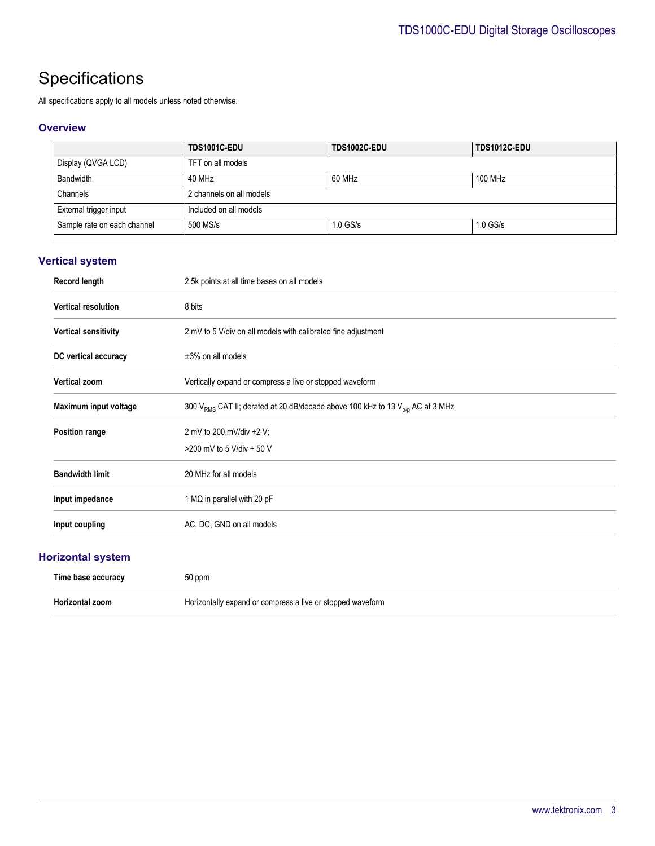# **Specifications**

All specifications apply to all models unless noted otherwise.

#### **Overview**

|                             | TDS1001C-EDU             | TDS1002C-EDU | <b>TDS1012C-EDU</b> |
|-----------------------------|--------------------------|--------------|---------------------|
| Display (QVGA LCD)          | TFT on all models        |              |                     |
| Bandwidth                   | 40 MHz                   | 60 MHz       | 100 MHz             |
| Channels                    | 2 channels on all models |              |                     |
| External trigger input      | Included on all models   |              |                     |
| Sample rate on each channel | 500 MS/s                 | $1.0$ GS/s   | $1.0$ GS/s          |

## **Vertical system**

| Record length               | 2.5k points at all time bases on all models                                                           |
|-----------------------------|-------------------------------------------------------------------------------------------------------|
| <b>Vertical resolution</b>  | 8 bits                                                                                                |
| <b>Vertical sensitivity</b> | 2 mV to 5 V/div on all models with calibrated fine adjustment                                         |
| DC vertical accuracy        | $\pm 3\%$ on all models                                                                               |
| <b>Vertical zoom</b>        | Vertically expand or compress a live or stopped waveform                                              |
| Maximum input voltage       | 300 V <sub>RMS</sub> CAT II; derated at 20 dB/decade above 100 kHz to 13 V <sub>p-p</sub> AC at 3 MHz |
| Position range              | 2 mV to 200 mV/div +2 V;                                                                              |
|                             | >200 mV to 5 V/div + 50 V                                                                             |
| <b>Bandwidth limit</b>      | 20 MHz for all models                                                                                 |
| Input impedance             | 1 M $\Omega$ in parallel with 20 pF                                                                   |
| Input coupling              | AC, DC, GND on all models                                                                             |
|                             |                                                                                                       |

## **Horizontal system**

| Time base accuracy | 50 ppm                                                     |
|--------------------|------------------------------------------------------------|
| Horizontal zoom    | Horizontally expand or compress a live or stopped waveform |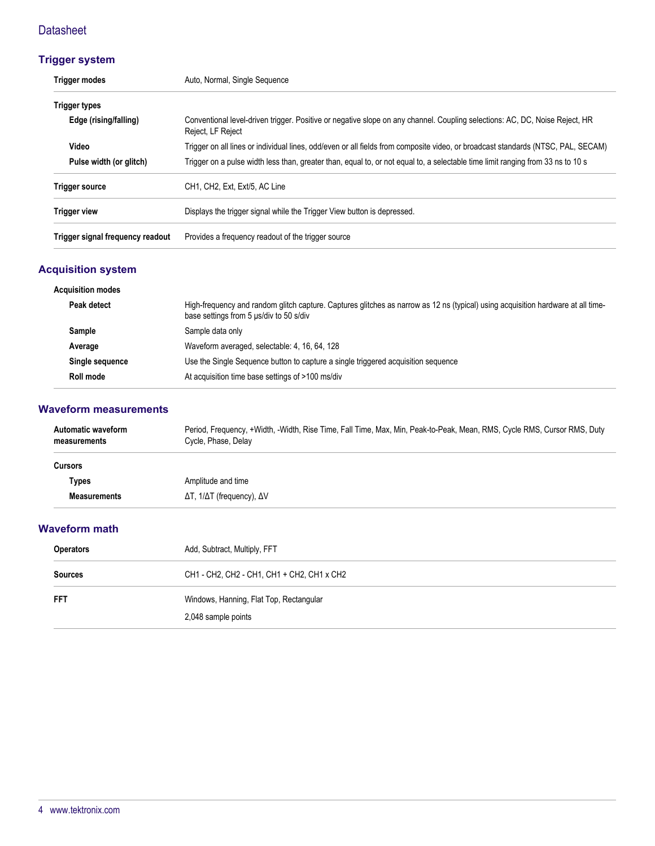# **Datasheet**

# **Trigger system**

| <b>Trigger modes</b>             | Auto, Normal, Single Sequence                                                                                                                    |  |
|----------------------------------|--------------------------------------------------------------------------------------------------------------------------------------------------|--|
| <b>Trigger types</b>             |                                                                                                                                                  |  |
| Edge (rising/falling)            | Conventional level-driven trigger. Positive or negative slope on any channel. Coupling selections: AC, DC, Noise Reject, HR<br>Reject, LF Reject |  |
| Video                            | Trigger on all lines or individual lines, odd/even or all fields from composite video, or broadcast standards (NTSC, PAL, SECAM)                 |  |
| Pulse width (or glitch)          | Trigger on a pulse width less than, greater than, equal to, or not equal to, a selectable time limit ranging from 33 ns to 10 s                  |  |
| <b>Trigger source</b>            | CH1, CH2, Ext, Ext/5, AC Line                                                                                                                    |  |
| <b>Trigger view</b>              | Displays the trigger signal while the Trigger View button is depressed.                                                                          |  |
| Trigger signal frequency readout | Provides a frequency readout of the trigger source                                                                                               |  |

# **Acquisition system**

| <b>Acquisition modes</b> |                                                                                                                                                                             |
|--------------------------|-----------------------------------------------------------------------------------------------------------------------------------------------------------------------------|
| Peak detect              | High-frequency and random glitch capture. Captures glitches as narrow as 12 ns (typical) using acquisition hardware at all time-<br>base settings from 5 us/div to 50 s/div |
| <b>Sample</b>            | Sample data only                                                                                                                                                            |
| Average                  | Waveform averaged, selectable: 4, 16, 64, 128                                                                                                                               |
| Single sequence          | Use the Single Sequence button to capture a single triggered acquisition sequence                                                                                           |
| Roll mode                | At acquisition time base settings of >100 ms/div                                                                                                                            |

#### **Waveform measurements**

| Automatic waveform<br>measurements | Period, Frequency, +Width, -Width, Rise Time, Fall Time, Max, Min, Peak-to-Peak, Mean, RMS, Cycle RMS, Cursor RMS, Duty<br>Cycle, Phase, Delay |
|------------------------------------|------------------------------------------------------------------------------------------------------------------------------------------------|
| <b>Cursors</b>                     |                                                                                                                                                |
| Types                              | Amplitude and time                                                                                                                             |
| <b>Measurements</b>                | $ΔT$ , $1/ΔT$ (frequency), $ΔV$                                                                                                                |

#### **Waveform math**

| <b>Operators</b> | Add, Subtract, Multiply, FFT                                   |
|------------------|----------------------------------------------------------------|
| <b>Sources</b>   | CH1 - CH2, CH2 - CH1, CH1 + CH2, CH1 x CH2                     |
| FFT              | Windows, Hanning, Flat Top, Rectangular<br>2,048 sample points |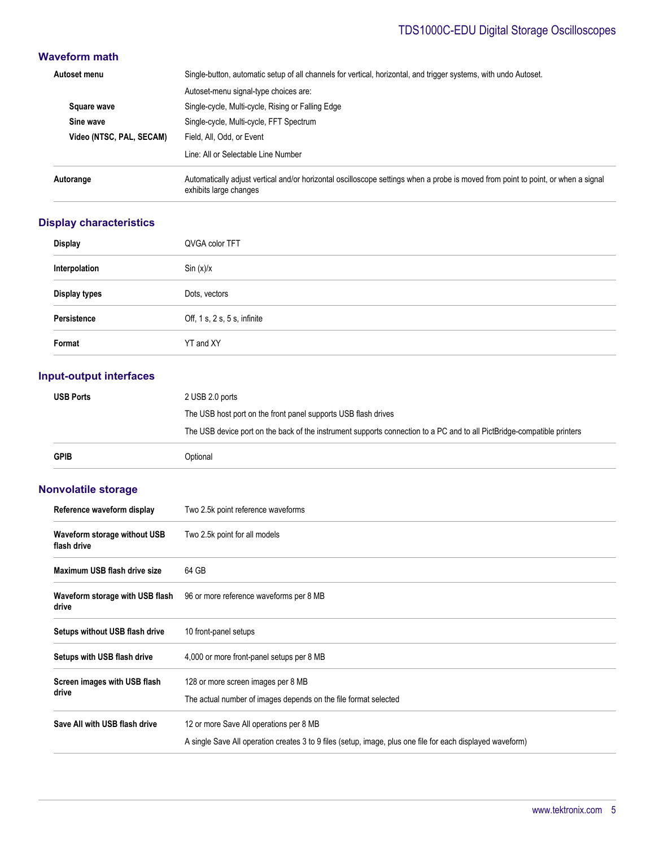# TDS1000C-EDU Digital Storage Oscilloscopes

## **Waveform math**

| Autoset menu             | Single-button, automatic setup of all channels for vertical, horizontal, and trigger systems, with undo Autoset.                                            |
|--------------------------|-------------------------------------------------------------------------------------------------------------------------------------------------------------|
|                          | Autoset-menu signal-type choices are:                                                                                                                       |
| Square wave              | Single-cycle, Multi-cycle, Rising or Falling Edge                                                                                                           |
| Sine wave                | Single-cycle, Multi-cycle, FFT Spectrum                                                                                                                     |
| Video (NTSC, PAL, SECAM) | Field, All, Odd, or Event                                                                                                                                   |
|                          | Line: All or Selectable Line Number                                                                                                                         |
| Autorange                | Automatically adjust vertical and/or horizontal oscilloscope settings when a probe is moved from point to point, or when a signal<br>exhibits large changes |

### **Display characteristics**

| <b>Display</b>       | QVGA color TFT               |
|----------------------|------------------------------|
| Interpolation        | Sin(x)/x                     |
| <b>Display types</b> | Dots, vectors                |
| Persistence          | Off, 1 s, 2 s, 5 s, infinite |
| Format               | YT and XY                    |

### **Input-output interfaces**

| <b>USB Ports</b> | 2 USB 2.0 ports                                                                                                         |
|------------------|-------------------------------------------------------------------------------------------------------------------------|
|                  | The USB host port on the front panel supports USB flash drives                                                          |
|                  | The USB device port on the back of the instrument supports connection to a PC and to all PictBridge-compatible printers |
| <b>GPIB</b>      | Optional                                                                                                                |

## **Nonvolatile storage**

| Reference waveform display                  | Two 2.5k point reference waveforms                                                                                                                    |
|---------------------------------------------|-------------------------------------------------------------------------------------------------------------------------------------------------------|
| Waveform storage without USB<br>flash drive | Two 2.5k point for all models                                                                                                                         |
| Maximum USB flash drive size                | 64 GB                                                                                                                                                 |
| Waveform storage with USB flash<br>drive    | 96 or more reference waveforms per 8 MB                                                                                                               |
| Setups without USB flash drive              | 10 front-panel setups                                                                                                                                 |
| Setups with USB flash drive                 | 4,000 or more front-panel setups per 8 MB                                                                                                             |
| Screen images with USB flash<br>drive       | 128 or more screen images per 8 MB<br>The actual number of images depends on the file format selected                                                 |
| Save All with USB flash drive               | 12 or more Save All operations per 8 MB<br>A single Save All operation creates 3 to 9 files (setup, image, plus one file for each displayed waveform) |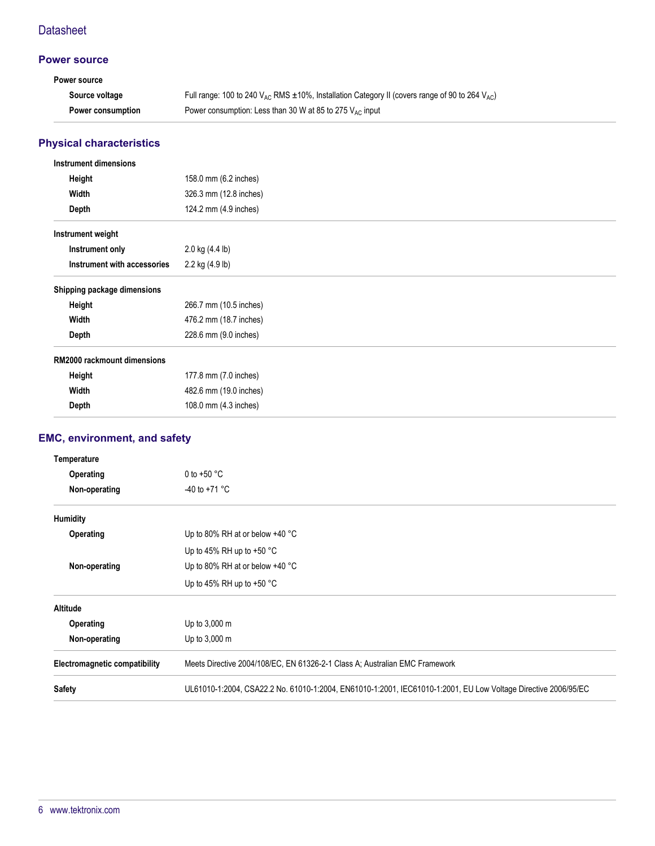## **Datasheet**

### **Power source**

| Power source      |                                                                                                          |
|-------------------|----------------------------------------------------------------------------------------------------------|
| Source voltage    | Full range: 100 to 240 $V_{AC}$ RMS ±10%, Installation Category II (covers range of 90 to 264 $V_{AC}$ ) |
| Power consumption | Power consumption: Less than 30 W at 85 to 275 $V_{AC}$ input                                            |

# **Physical characteristics**

| <b>Instrument dimensions</b>       |                        |
|------------------------------------|------------------------|
| Height                             | 158.0 mm (6.2 inches)  |
| Width                              | 326.3 mm (12.8 inches) |
| Depth                              | 124.2 mm (4.9 inches)  |
| Instrument weight                  |                        |
| Instrument only                    | 2.0 kg (4.4 lb)        |
| Instrument with accessories        | 2.2 kg (4.9 lb)        |
| Shipping package dimensions        |                        |
| Height                             | 266.7 mm (10.5 inches) |
| Width                              | 476.2 mm (18.7 inches) |
| Depth                              | 228.6 mm (9.0 inches)  |
| <b>RM2000 rackmount dimensions</b> |                        |
| Height                             | 177.8 mm (7.0 inches)  |
| Width                              | 482.6 mm (19.0 inches) |
| Depth                              | 108.0 mm (4.3 inches)  |
|                                    |                        |

# **EMC, environment, and safety**

| Temperature                   |                                                                                                                |  |  |
|-------------------------------|----------------------------------------------------------------------------------------------------------------|--|--|
| Operating                     | 0 to $+50$ °C                                                                                                  |  |  |
| Non-operating                 | $-40$ to $+71$ °C                                                                                              |  |  |
| <b>Humidity</b>               |                                                                                                                |  |  |
| Operating                     | Up to 80% RH at or below $+40$ °C                                                                              |  |  |
|                               | Up to 45% RH up to +50 $^{\circ}$ C                                                                            |  |  |
| Non-operating                 | Up to 80% RH at or below $+40$ °C                                                                              |  |  |
|                               | Up to 45% RH up to +50 $^{\circ}$ C                                                                            |  |  |
| <b>Altitude</b>               |                                                                                                                |  |  |
| Operating                     | Up to 3,000 m                                                                                                  |  |  |
| Non-operating                 | Up to 3,000 m                                                                                                  |  |  |
| Electromagnetic compatibility | Meets Directive 2004/108/EC, EN 61326-2-1 Class A; Australian EMC Framework                                    |  |  |
| <b>Safety</b>                 | UL61010-1:2004, CSA22.2 No. 61010-1:2004, EN61010-1:2001, IEC61010-1:2001, EU Low Voltage Directive 2006/95/EC |  |  |
|                               |                                                                                                                |  |  |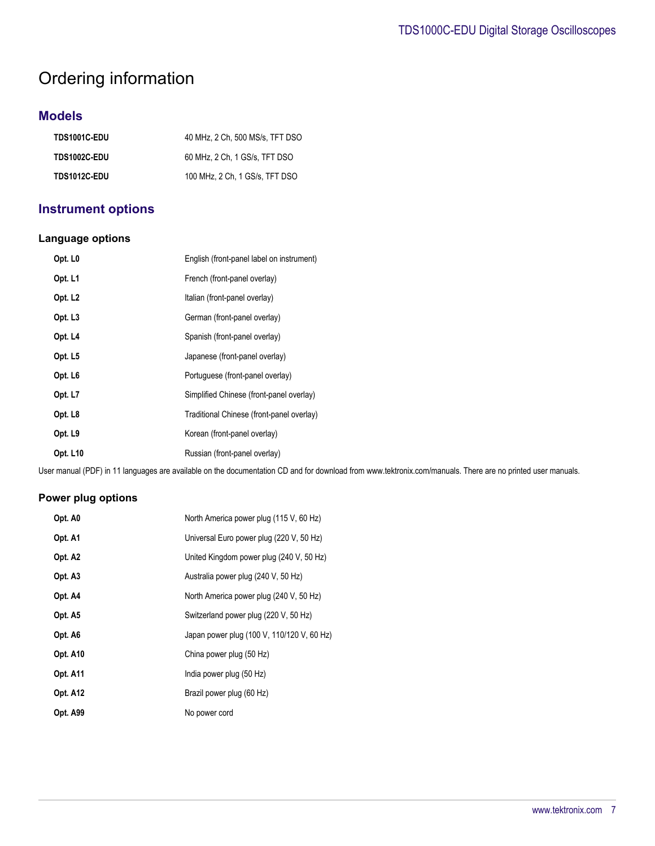# Ordering information

# **Models**

| TDS1001C-EDU        | 40 MHz, 2 Ch, 500 MS/s, TFT DSO |
|---------------------|---------------------------------|
| <b>TDS1002C-EDU</b> | 60 MHz. 2 Ch. 1 GS/s. TFT DSO   |
| TDS1012C-EDU        | 100 MHz, 2 Ch, 1 GS/s, TFT DSO  |

# **Instrument options**

#### **Language options**

| Opt. L0             | English (front-panel label on instrument) |
|---------------------|-------------------------------------------|
| Opt. L1             | French (front-panel overlay)              |
| Opt. L <sub>2</sub> | Italian (front-panel overlay)             |
| Opt. L <sub>3</sub> | German (front-panel overlay)              |
| Opt. L4             | Spanish (front-panel overlay)             |
| Opt. L5             | Japanese (front-panel overlay)            |
| Opt. L <sub>6</sub> | Portuguese (front-panel overlay)          |
| Opt. L7             | Simplified Chinese (front-panel overlay)  |
| Opt. L8             | Traditional Chinese (front-panel overlay) |
| Opt. L9             | Korean (front-panel overlay)              |
| Opt. L10            | Russian (front-panel overlay)             |

User manual (PDF) in 11 languages are available on the documentation CD and for download from www.tektronix.com/manuals. There are no printed user manuals.

#### **Power plug options**

| Opt. A0         | North America power plug (115 V, 60 Hz)    |
|-----------------|--------------------------------------------|
| Opt. A1         | Universal Euro power plug (220 V, 50 Hz)   |
| Opt. A2         | United Kingdom power plug (240 V, 50 Hz)   |
| Opt. A3         | Australia power plug (240 V, 50 Hz)        |
| Opt. A4         | North America power plug (240 V, 50 Hz)    |
| Opt. A5         | Switzerland power plug (220 V, 50 Hz)      |
| Opt. A6         | Japan power plug (100 V, 110/120 V, 60 Hz) |
| Opt. A10        | China power plug (50 Hz)                   |
| <b>Opt. A11</b> | India power plug (50 Hz)                   |
| <b>Opt. A12</b> | Brazil power plug (60 Hz)                  |
| Opt. A99        | No power cord                              |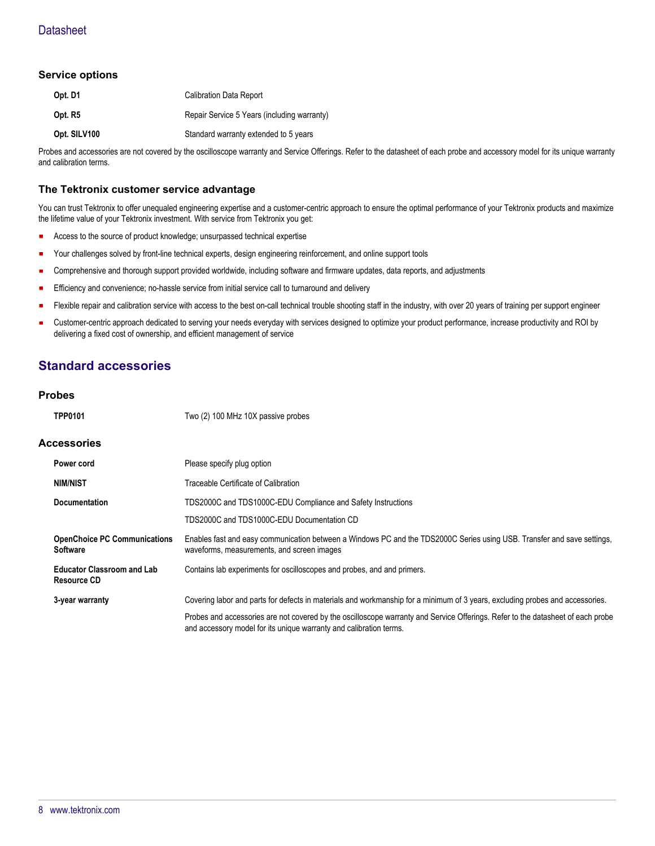#### **Service options**

| Opt. D1      | <b>Calibration Data Report</b>              |
|--------------|---------------------------------------------|
| Opt. R5      | Repair Service 5 Years (including warranty) |
| Opt. SILV100 | Standard warranty extended to 5 years       |

Probes and accessories are not covered by the oscilloscope warranty and Service Offerings. Refer to the datasheet of each probe and accessory model for its unique warranty and calibration terms.

#### **The Tektronix customer service advantage**

You can trust Tektronix to offer unequaled engineering expertise and a customer-centric approach to ensure the optimal performance of your Tektronix products and maximize the lifetime value of your Tektronix investment. With service from Tektronix you get:

- Access to the source of product knowledge; unsurpassed technical expertise
- Your challenges solved by front-line technical experts, design engineering reinforcement, and online support tools
- Comprehensive and thorough support provided worldwide, including software and firmware updates, data reports, and adjustments
- Efficiency and convenience; no-hassle service from initial service call to turnaround and delivery г
- Flexible repair and calibration service with access to the best on-call technical trouble shooting staff in the industry, with over 20 years of training per support engineer
- Customer-centric approach dedicated to serving your needs everyday with services designed to optimize your product performance, increase productivity and ROI by delivering a fixed cost of ownership, and efficient management of service

### **Standard accessories**

#### **Probes**

| <b>TPP0101</b> | Two (2) 100 MHz 10X passive probes |
|----------------|------------------------------------|
|                |                                    |

#### **Accessories**

| Power cord                                             | Please specify plug option                                                                                                                                                                            |  |
|--------------------------------------------------------|-------------------------------------------------------------------------------------------------------------------------------------------------------------------------------------------------------|--|
| <b>NIM/NIST</b>                                        | Traceable Certificate of Calibration                                                                                                                                                                  |  |
| <b>Documentation</b>                                   | TDS2000C and TDS1000C-EDU Compliance and Safety Instructions                                                                                                                                          |  |
|                                                        | TDS2000C and TDS1000C-EDU Documentation CD                                                                                                                                                            |  |
| <b>OpenChoice PC Communications</b><br><b>Software</b> | Enables fast and easy communication between a Windows PC and the TDS2000C Series using USB. Transfer and save settings,<br>waveforms, measurements, and screen images                                 |  |
| <b>Educator Classroom and Lab</b><br>Resource CD       | Contains lab experiments for oscilloscopes and probes, and and primers.                                                                                                                               |  |
| 3-year warranty                                        | Covering labor and parts for defects in materials and workmanship for a minimum of 3 years, excluding probes and accessories.                                                                         |  |
|                                                        | Probes and accessories are not covered by the oscilloscope warranty and Service Offerings. Refer to the datasheet of each probe<br>and accessory model for its unique warranty and calibration terms. |  |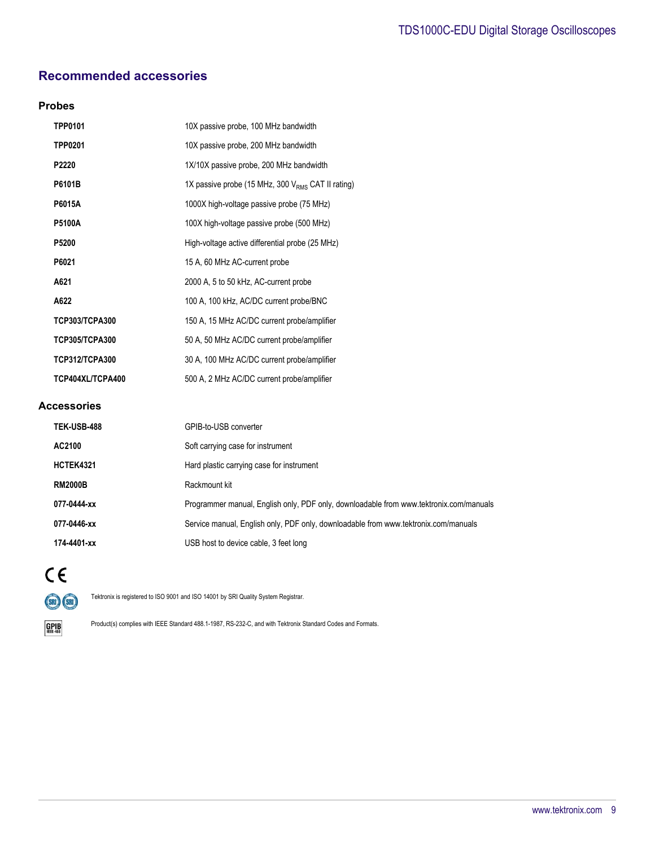# **Recommended accessories**

#### **Probes**

| <b>TPP0101</b>        | 10X passive probe, 100 MHz bandwidth                   |
|-----------------------|--------------------------------------------------------|
| <b>TPP0201</b>        | 10X passive probe, 200 MHz bandwidth                   |
| P2220                 | 1X/10X passive probe, 200 MHz bandwidth                |
| P6101B                | 1X passive probe (15 MHz, 300 $V_{RMS}$ CAT II rating) |
| P6015A                | 1000X high-voltage passive probe (75 MHz)              |
| <b>P5100A</b>         | 100X high-voltage passive probe (500 MHz)              |
| P5200                 | High-voltage active differential probe (25 MHz)        |
| P6021                 | 15 A, 60 MHz AC-current probe                          |
| A621                  | 2000 A, 5 to 50 kHz, AC-current probe                  |
| A622                  | 100 A, 100 kHz, AC/DC current probe/BNC                |
| <b>TCP303/TCPA300</b> | 150 A, 15 MHz AC/DC current probe/amplifier            |
| TCP305/TCPA300        | 50 A, 50 MHz AC/DC current probe/amplifier             |
| <b>TCP312/TCPA300</b> | 30 A, 100 MHz AC/DC current probe/amplifier            |
| TCP404XL/TCPA400      | 500 A, 2 MHz AC/DC current probe/amplifier             |
| <b>Accessories</b>    |                                                        |
| TEK-USB-488           | GPIB-to-USB converter                                  |
| AC2100                | Soft carrying case for instrument                      |
| <b>HCTEK4321</b>      | Hard plastic carrying case for instrument              |
| <b>RM2000B</b>        | Rackmount kit                                          |

077-0444-xx **Programmer manual, English only, PDF only, downloadable from www.tektronix.com/manuals 077-0446-xx** Service manual, English only, PDF only, downloadable from www.tektronix.com/manuals **174-4401-xx** USB host to device cable, 3 feet long

 $C<sub>6</sub>$  $(5R)$  $(5R)$ 

Tektronix is registered to ISO 9001 and ISO 14001 by SRI Quality System Registrar.

 $GPIB$ 

Product(s) complies with IEEE Standard 488.1-1987, RS-232-C, and with Tektronix Standard Codes and Formats.